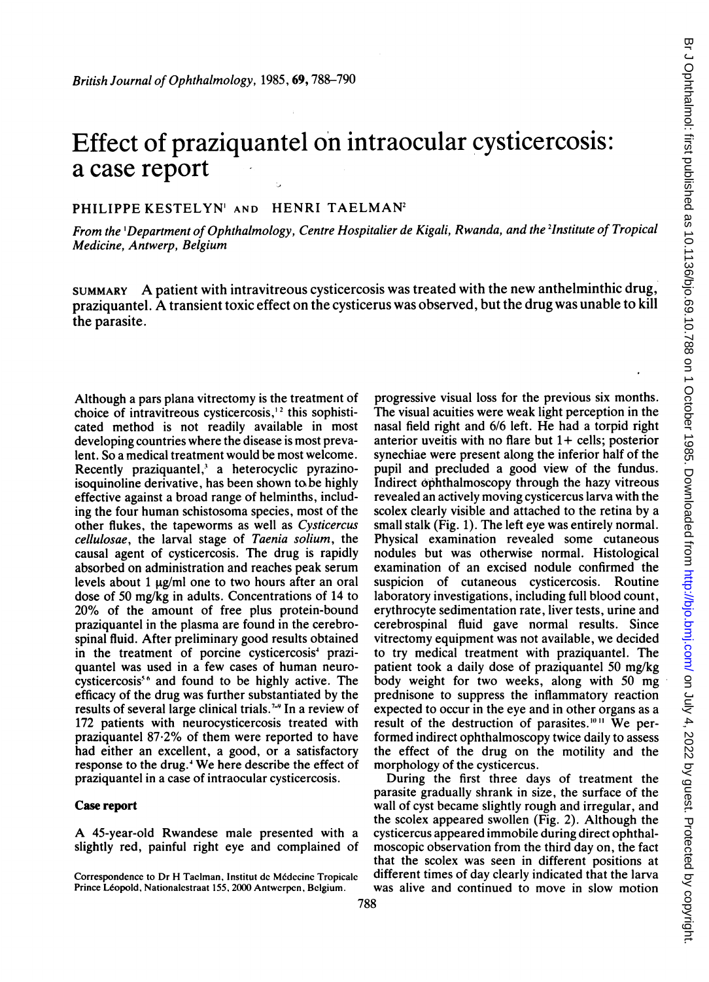# Effect of praziquantel on intraocular cysticercosis: a case report

## PHILIPPE KESTELYN' AND HENRI TAELMAN<sup>2</sup>

From the 'Department of Ophthalmology, Centre Hospitalier de Kigali, Rwanda, and the <sup>2</sup>Institute of Tropical Medicine, Antwerp, Belgium

SUMMARY A patient with intravitreous cysticercosis was treated with the new anthelminthic drug, praziquantel. A transient toxic effect on the cysticerus was observed, but the drug was unable to kill the parasite.

Although a pars plana vitrectomy is the treatment of choice of intravitreous cysticercosis,<sup> $12$ </sup> this sophisticated method is not readily available in most developing countries where the disease is most prevalent. So a medical treatment would be most welcome. Recently praziquantel,' a heterocyclic pyrazinoisoquinoline derivative, has been shown to be highly effective against a broad range of helminths, including the four human schistosoma species, most of the other flukes, the tapeworms as well as Cysticercus cellulosae, the larval stage of Taenia solium, the causal agent of cysticercosis. The drug is rapidly absorbed on administration and reaches peak serum levels about 1  $\mu$ g/ml one to two hours after an oral dose of 50 mg/kg in adults. Concentrations of 14 to 20% of the amount of free plus protein-bound praziquantel in the plasma are found in the cerebrospinal fluid. After preliminary good results obtained in the treatment of porcine cysticercosis<sup>4</sup> praziquantel was used in a few cases of human neurocysticercosis<sup>56</sup> and found to be highly active. The efficacy of the drug was further substantiated by the results of several large clinical trials.7-9 In a review of 172 patients with neurocysticercosis treated with praziquantel 87.2% of them were reported to have had either an excellent, a good, or a satisfactory response to the drug.<sup>4</sup> We here describe the effect of praziquantel in a case of intraocular cysticercosis.

### Case report

A 45-year-old Rwandese male presented with <sup>a</sup> slightly red, painful right eye and complained of progressive visual loss for the previous six months. The visual acuities were weak light perception in the nasal field right and 6/6 left. He had a torpid right anterior uveitis with no flare but  $1+$  cells; posterior synechiae were present along the inferior half of the pupil and precluded a good view of the fundus. Indirect ophthalmoscopy through the hazy vitreous revealed an actively moving cysticercus larva with the scolex clearly visible and attached to the retina by a small stalk (Fig. 1). The left eye was entirely normal. Physical examination revealed some cutaneous nodules but was otherwise normal. Histological examination of an excised nodule confirmed the suspicion of cutaneous cysticercosis. Routine laboratory investigations, including full blood count, erythrocyte sedimentation rate, liver tests, urine and cerebrospinal fluid gave normal results. Since vitrectomy equipment was not available, we decided to try medical treatment with praziquantel. The patient took <sup>a</sup> daily dose of praziquantel <sup>50</sup> mg/kg body weight for two weeks, along with 50 mg prednisone to suppress the inflammatory reaction expected to occur in the eye and in other organs as a result of the destruction of parasites.""' We performed indirect ophthalmoscopy twice daily to assess the effect of the drug on the motility and the morphology of the cysticercus.

During the first three days of treatment the parasite gradually shrank in size, the surface of the wall of cyst became slightly rough and irregular, and the scolex appeared swollen (Fig. 2). Although the cysticercus appeared immobile during direct ophthalmoscopic observation from the third day on, the fact that the scolex was seen in different positions at different times of day clearly indicated that the larva was alive and continued to move in slow motion

Correspondence to Dr H Taclman, Institut de Médecine Tropicale Prince Léopold, Nationalestraat 155, 2000 Antwerpen, Belgium.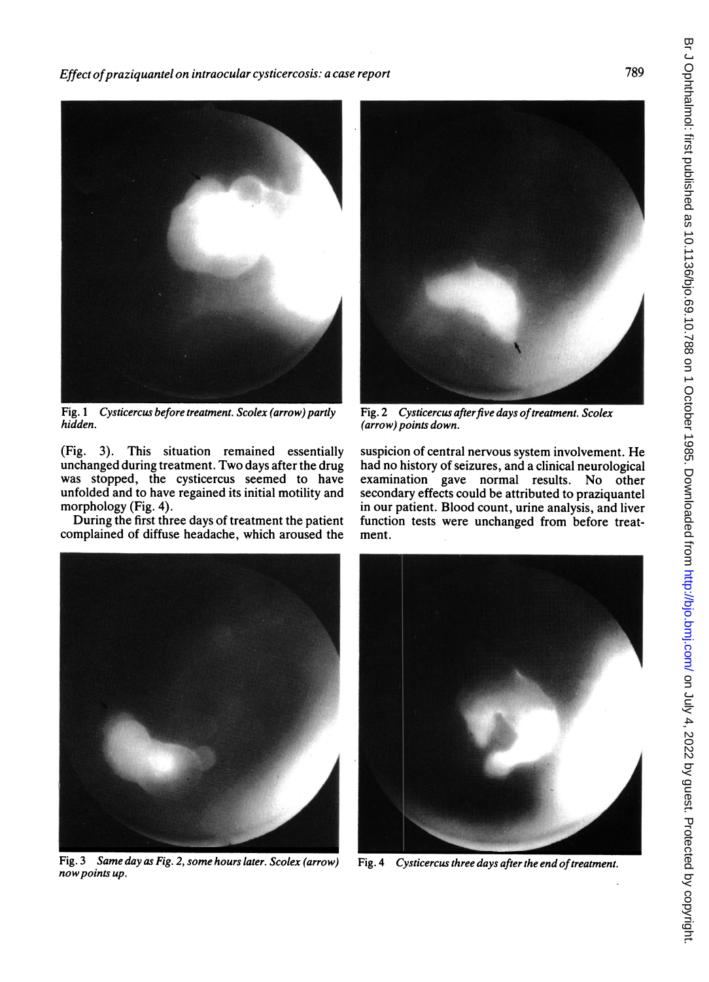Effect of praziquantel on intraocular cysticercosis: a case report



Fig. <sup>1</sup> Cysticercus before treatment. Scolex (arrow) partly hidden.

(Fig. 3). This situation remained essentially unchanged during treatment. Two days after the drug was stopped, the cysticercus seemed to have unfolded and to have regained its initial motility and morphology (Fig. 4).

During the first three days of treatment the patient complained of diffuse headache, which aroused the

Fig. 2 Cysticercus after five days of treatment. Scolex (arrow) points down.

suspicion of central nervous system involvement. He had no history of seizures, and a clinical neurological examination gave normal results. No other secondary effects could be attributed to praziquantel in our patient. Blood count, urine analysis, and liver function tests were unchanged from before treatment.



Fig. 3 Same day as Fig. 2, some hours later. Scolex (arrow) nowpoints up.



Fig. 4 Cysticercus three days after the end of treatment.